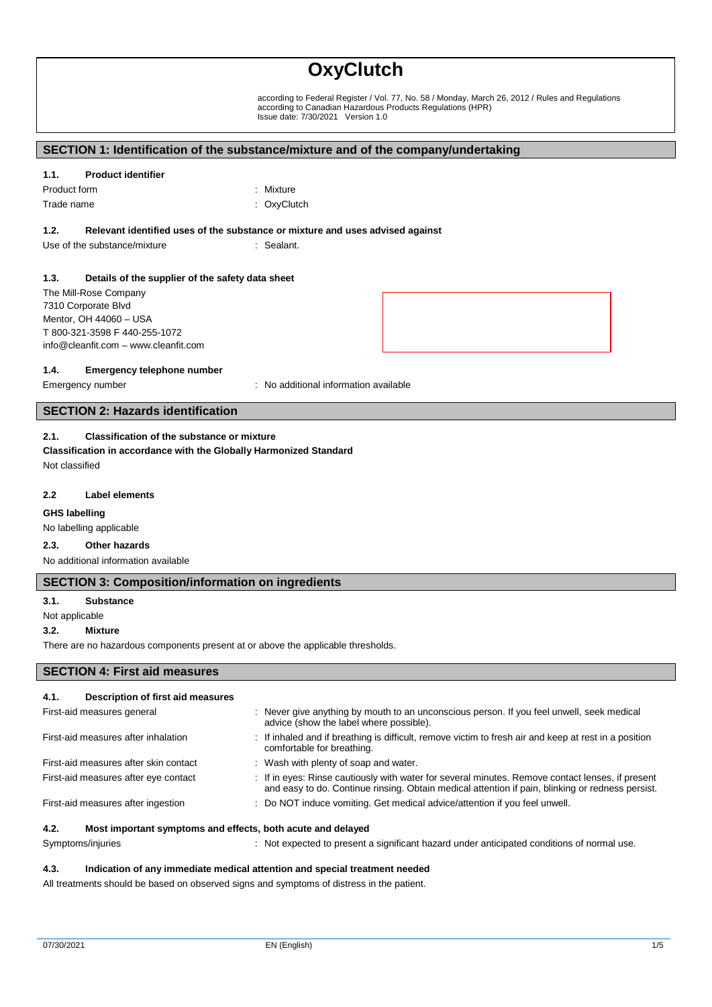according to Federal Register / Vol. 77, No. 58 / Monday, March 26, 2012 / Rules and Regulations according to Canadian Hazardous Products Regulations (HPR) Issue date: 7/30/2021 Version 1.0

# **SECTION 1: Identification of the substance/mixture and of the company/undertaking**

#### **1.1. Product identifier**

| Product form | : Mixture   |
|--------------|-------------|
| Trade name   | : OxyClutch |

#### **1.2. Relevant identified uses of the substance or mixture and uses advised against**

Use of the substance/mixture in the sealant.

#### **1.3. Details of the supplier of the safety data sheet**

The Mill-Rose Company 7310 Corporate Blvd Mentor, OH 44060 – USA T 800-321-3598 F 440-255-1072 info@cleanfit.com – www.cleanfit.com

#### **1.4. Emergency telephone number**

Emergency number : No additional information available

# **SECTION 2: Hazards identification**

# **2.1. Classification of the substance or mixture**

**Classification in accordance with the Globally Harmonized Standard** Not classified

#### **2.2 Label elements**

#### **GHS labelling**

No labelling applicable

#### **2.3. Other hazards**

No additional information available

## **SECTION 3: Composition/information on ingredients**

#### **3.1. Substance**

Not applicable

#### **3.2. Mixture**

There are no hazardous components present at or above the applicable thresholds.

# **SECTION 4: First aid measures**

# **4.1. Description of first aid measures** First-aid measures general interest in the state of the very give anything by mouth to an unconscious person. If you feel unwell, seek medical advice (show the label where possible). First-aid measures after inhalation : If inhaled and if breathing is difficult, remove victim to fresh air and keep at rest in a position comfortable for breathing. First-aid measures after skin contact : Wash with plenty of soap and water. First-aid measures after eye contact : If in eyes: Rinse cautiously with water for several minutes. Remove contact lenses, if present and easy to do. Continue rinsing. Obtain medical attention if pain, blinking or redness persist. First-aid measures after ingestion : Do NOT induce vomiting. Get medical advice/attention if you feel unwell. **4.2. Most important symptoms and effects, both acute and delayed**

Symptoms/injuries **interpretent assumption in the symptoms**/injuries in the symptoms/injuries in the symptoms/injuries in the symptoms/injuries in the symptoms/injuries in the symptom of normal use.

#### **4.3. Indication of any immediate medical attention and special treatment needed**

All treatments should be based on observed signs and symptoms of distress in the patient.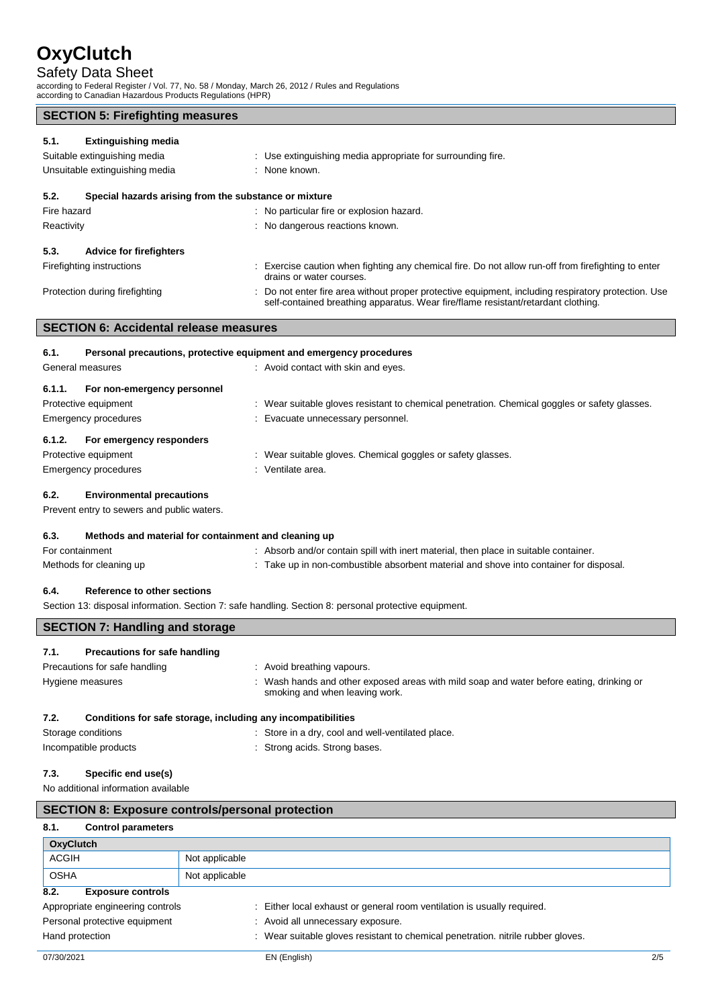Safety Data Sheet according to Federal Register / Vol. 77, No. 58 / Monday, March 26, 2012 / Rules and Regulations according to Canadian Hazardous Products Regulations (HPR)

| <b>SECTION 5: Firefighting measures</b>                            |                                                                                                                                                                                          |  |
|--------------------------------------------------------------------|------------------------------------------------------------------------------------------------------------------------------------------------------------------------------------------|--|
| <b>Extinguishing media</b><br>5.1.<br>Suitable extinguishing media | : Use extinguishing media appropriate for surrounding fire.                                                                                                                              |  |
| Unsuitable extinguishing media                                     | : None known.                                                                                                                                                                            |  |
| 5.2.<br>Special hazards arising from the substance or mixture      |                                                                                                                                                                                          |  |
| Fire hazard                                                        | : No particular fire or explosion hazard.                                                                                                                                                |  |
| Reactivity                                                         | : No dangerous reactions known.                                                                                                                                                          |  |
| 5.3.<br><b>Advice for firefighters</b>                             |                                                                                                                                                                                          |  |
| Firefighting instructions                                          | : Exercise caution when fighting any chemical fire. Do not allow run-off from firefighting to enter<br>drains or water courses.                                                          |  |
| Protection during firefighting                                     | : Do not enter fire area without proper protective equipment, including respiratory protection. Use<br>self-contained breathing apparatus. Wear fire/flame resistant/retardant clothing. |  |
| <b>SECTION 6: Accidental release measures</b>                      |                                                                                                                                                                                          |  |
| 6.1.                                                               | Personal precautions, protective equipment and emergency procedures                                                                                                                      |  |
| General measures                                                   | : Avoid contact with skin and eyes.                                                                                                                                                      |  |

| 6.1.1. | For non-emergency personnel |                                                                                               |
|--------|-----------------------------|-----------------------------------------------------------------------------------------------|
|        | Protective equipment        | : Wear suitable gloves resistant to chemical penetration. Chemical goggles or safety glasses. |
|        | Emergency procedures        | : Evacuate unnecessary personnel.                                                             |
|        |                             |                                                                                               |
| 6.1.2. | For emergency responders    |                                                                                               |
|        | Protective equipment        | : Wear suitable gloves. Chemical goggles or safety glasses.                                   |

# **6.2. Environmental precautions**

Prevent entry to sewers and public waters.

| 6.3. | Methods and material for containment and cleaning up |  |
|------|------------------------------------------------------|--|
|------|------------------------------------------------------|--|

Incompatible products in the strong acids. Strong bases.

| For containment         | : Absorb and/or contain spill with inert material, then place in suitable container.   |
|-------------------------|----------------------------------------------------------------------------------------|
| Methods for cleaning up | : Take up in non-combustible absorbent material and shove into container for disposal. |

# **6.4. Reference to other sections**

Section 13: disposal information. Section 7: safe handling. Section 8: personal protective equipment.

| <b>SECTION 7: Handling and storage</b>                               |                                                                                                                            |  |
|----------------------------------------------------------------------|----------------------------------------------------------------------------------------------------------------------------|--|
| Precautions for safe handling<br>7.1.                                |                                                                                                                            |  |
| Precautions for safe handling                                        | : Avoid breathing vapours.                                                                                                 |  |
| Hygiene measures                                                     | : Wash hands and other exposed areas with mild soap and water before eating, drinking or<br>smoking and when leaving work. |  |
| Conditions for safe storage, including any incompatibilities<br>7.2. |                                                                                                                            |  |
| Storage conditions                                                   | : Store in a dry, cool and well-ventilated place.                                                                          |  |

# **7.3. Specific end use(s)**

No additional information available

|                  | <b>SECTION 8: Exposure controls/personal protection</b> |                |                                                                                  |     |
|------------------|---------------------------------------------------------|----------------|----------------------------------------------------------------------------------|-----|
| 8.1.             | <b>Control parameters</b>                               |                |                                                                                  |     |
| <b>OxyClutch</b> |                                                         |                |                                                                                  |     |
| <b>ACGIH</b>     |                                                         | Not applicable |                                                                                  |     |
| <b>OSHA</b>      |                                                         | Not applicable |                                                                                  |     |
| 8.2.             | <b>Exposure controls</b>                                |                |                                                                                  |     |
|                  | Appropriate engineering controls                        |                | : Either local exhaust or general room ventilation is usually required.          |     |
|                  | Personal protective equipment                           |                | : Avoid all unnecessary exposure.                                                |     |
| Hand protection  |                                                         |                | : Wear suitable gloves resistant to chemical penetration. nitrile rubber gloves. |     |
| 07/30/2021       |                                                         |                | EN (English)                                                                     | 2/5 |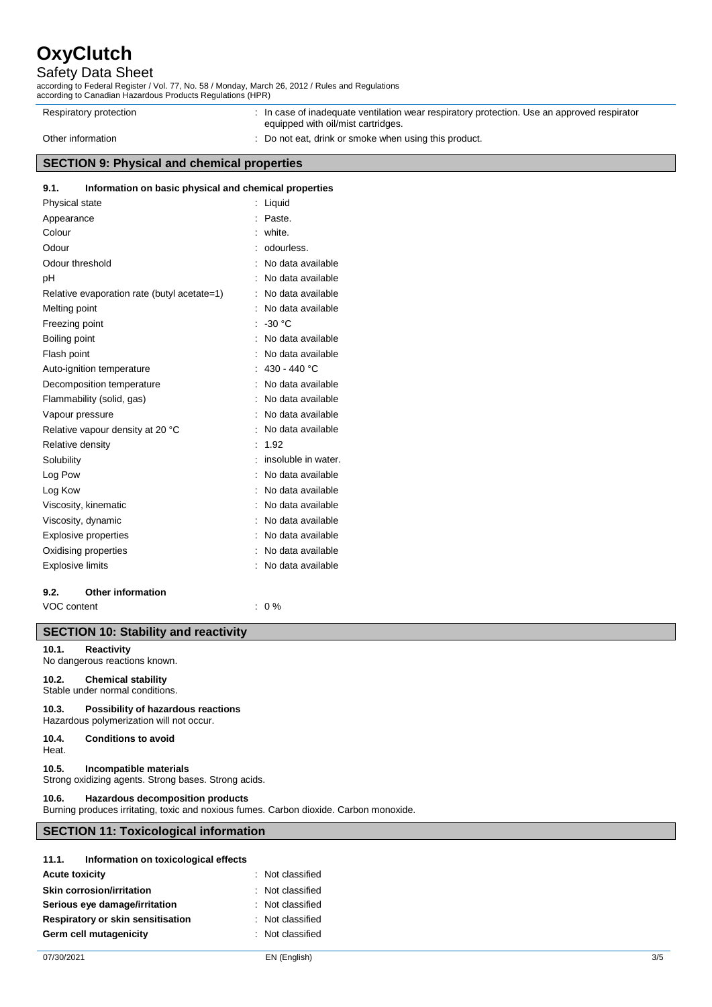# Safety Data Sheet

according to Federal Register / Vol. 77, No. 58 / Monday, March 26, 2012 / Rules and Regulations according to Canadian Hazardous Products Regulations (HPR)

| Respiratory protection                             | : In case of inadequate ventilation wear respiratory protection. Use an approved respirator<br>equipped with oil/mist cartridges. |
|----------------------------------------------------|-----------------------------------------------------------------------------------------------------------------------------------|
| Other information                                  | : Do not eat, drink or smoke when using this product.                                                                             |
| <b>SECTION 9: Physical and chemical properties</b> |                                                                                                                                   |

## **9.1. Information on basic physical and chemical properties**

| Physical state          |                                             | Liquid              |
|-------------------------|---------------------------------------------|---------------------|
| Appearance              |                                             | Paste.              |
| Colour                  |                                             | white.              |
| Odour                   |                                             | odourless.          |
| Odour threshold         |                                             | No data available   |
| рH                      |                                             | No data available   |
|                         | Relative evaporation rate (butyl acetate=1) | No data available   |
| Melting point           |                                             | No data available   |
| Freezing point          |                                             | $-30 °C$            |
| Boiling point           |                                             | No data available   |
| Flash point             |                                             | No data available   |
|                         | Auto-ignition temperature                   | 430 - 440 °C        |
|                         | Decomposition temperature                   | No data available   |
|                         | Flammability (solid, gas)                   | No data available   |
| Vapour pressure         |                                             | No data available   |
|                         | Relative vapour density at 20 °C            | No data available   |
| Relative density        |                                             | 1.92                |
| Solubility              |                                             | insoluble in water. |
| Log Pow                 |                                             | No data available   |
| Log Kow                 |                                             | No data available   |
|                         | Viscosity, kinematic                        | No data available   |
| Viscosity, dynamic      |                                             | No data available   |
|                         | <b>Explosive properties</b>                 | No data available   |
| Oxidising properties    |                                             | No data available   |
| <b>Explosive limits</b> |                                             | No data available   |
| 9.2.                    | <b>Other information</b>                    |                     |

VOC content : 0 %

# **SECTION 10: Stability and reactivity**

## **10.1. Reactivity**

No dangerous reactions known.

**10.2. Chemical stability** Stable under normal conditions.

**10.3. Possibility of hazardous reactions** Hazardous polymerization will not occur.

# **10.4. Conditions to avoid**

# Heat.

**10.5. Incompatible materials**

Strong oxidizing agents. Strong bases. Strong acids.

# **10.6. Hazardous decomposition products**

Burning produces irritating, toxic and noxious fumes. Carbon dioxide. Carbon monoxide.

# **SECTION 11: Toxicological information**

| 11.1.                 | Information on toxicological effects |                  |
|-----------------------|--------------------------------------|------------------|
| <b>Acute toxicity</b> |                                      | : Not classified |
|                       | <b>Skin corrosion/irritation</b>     | : Not classified |
|                       | Serious eye damage/irritation        | : Not classified |
|                       | Respiratory or skin sensitisation    | : Not classified |
|                       | Germ cell mutagenicity               | : Not classified |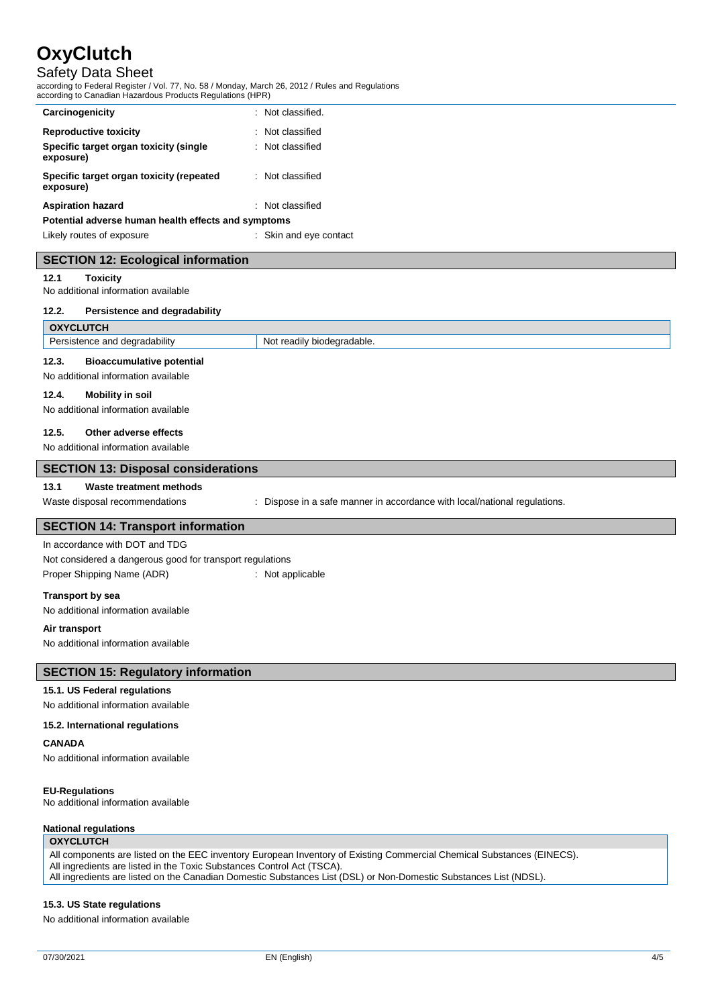# Safety Data Sheet

according to Federal Register / Vol. 77, No. 58 / Monday, March 26, 2012 / Rules and Regulations according to Canadian Hazardous Products Regulations (HPR)

| Carcinogenicity                                       | : Not classified.      |
|-------------------------------------------------------|------------------------|
| <b>Reproductive toxicity</b>                          | : Not classified       |
| Specific target organ toxicity (single<br>exposure)   | : Not classified       |
| Specific target organ toxicity (repeated<br>exposure) | : Not classified       |
| <b>Aspiration hazard</b>                              | : Not classified       |
| Potential adverse human health effects and symptoms   |                        |
| Likely routes of exposure                             | : Skin and eye contact |

# **SECTION 12: Ecological information**

### **12.1 Toxicity**

No additional information available

#### **12.2. Persistence and degradability**

| <b>OXYCLUTCH</b>                                                                 |                            |  |
|----------------------------------------------------------------------------------|----------------------------|--|
| Persistence and degradability                                                    | Not readily biodegradable. |  |
| 12.3.<br><b>Bioaccumulative potential</b><br>No additional information available |                            |  |
| 12.4.<br><b>Mobility in soil</b>                                                 |                            |  |
| No additional information available                                              |                            |  |

#### **12.5. Other adverse effects**

| No additional information available                       |                                                                           |  |
|-----------------------------------------------------------|---------------------------------------------------------------------------|--|
| <b>SECTION 13: Disposal considerations</b>                |                                                                           |  |
| 13.1<br>Waste treatment methods                           |                                                                           |  |
| Waste disposal recommendations                            | : Dispose in a safe manner in accordance with local/national regulations. |  |
| <b>SECTION 14: Transport information</b>                  |                                                                           |  |
| In accordance with DOT and TDG                            |                                                                           |  |
| Not considered a dangerous good for transport regulations |                                                                           |  |

Not considered a dangerous good for transport regulations Proper Shipping Name (ADR) : Not applicable

**Transport by sea**

No additional information available

**Air transport**

No additional information available

# **SECTION 15: Regulatory information**

#### **15.1. US Federal regulations**

No additional information available

**15.2. International regulations**

# **CANADA**

No additional information available

### **EU-Regulations**

No additional information available

# **National regulations**

## **OXYCLUTCH**

All components are listed on the EEC inventory European Inventory of Existing Commercial Chemical Substances (EINECS).

All ingredients are listed in the Toxic Substances Control Act (TSCA).

All ingredients are listed on the Canadian Domestic Substances List (DSL) or Non-Domestic Substances List (NDSL).

# **15.3. US State regulations**

No additional information available